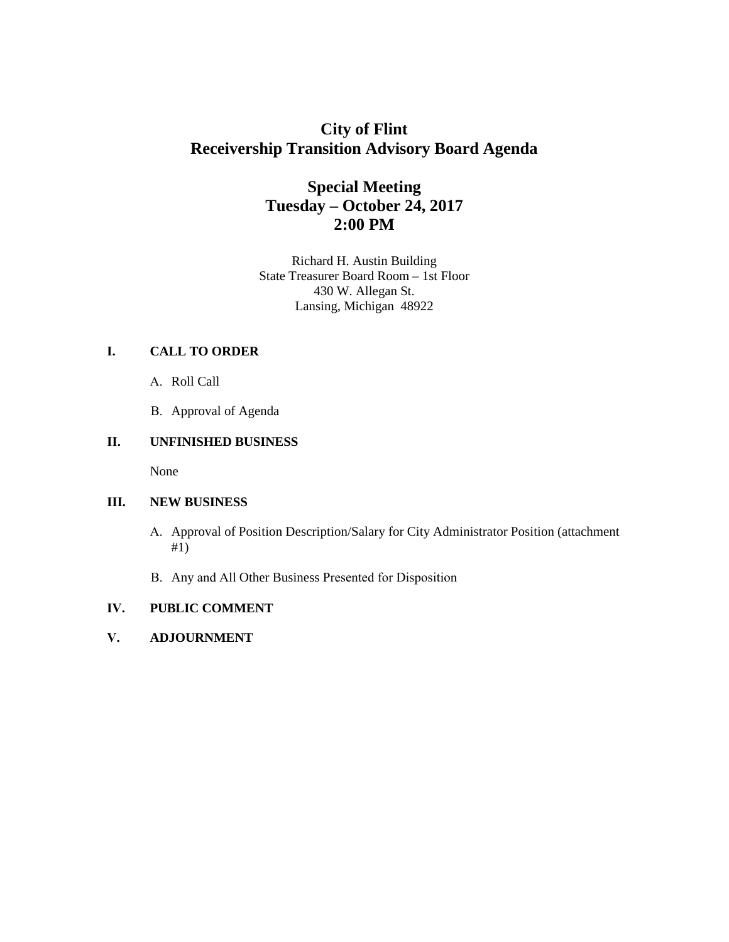# **City of Flint Receivership Transition Advisory Board Agenda**

# **Special Meeting Tuesday – October 24, 2017 2:00 PM**

Richard H. Austin Building State Treasurer Board Room – 1st Floor 430 W. Allegan St. Lansing, Michigan 48922

# **I. CALL TO ORDER**

- A. Roll Call
- B. Approval of Agenda

## **II. UNFINISHED BUSINESS**

None

### **III. NEW BUSINESS**

- A. Approval of Position Description/Salary for City Administrator Position (attachment #1)
- B. Any and All Other Business Presented for Disposition

# **IV. PUBLIC COMMENT**

**V. ADJOURNMENT**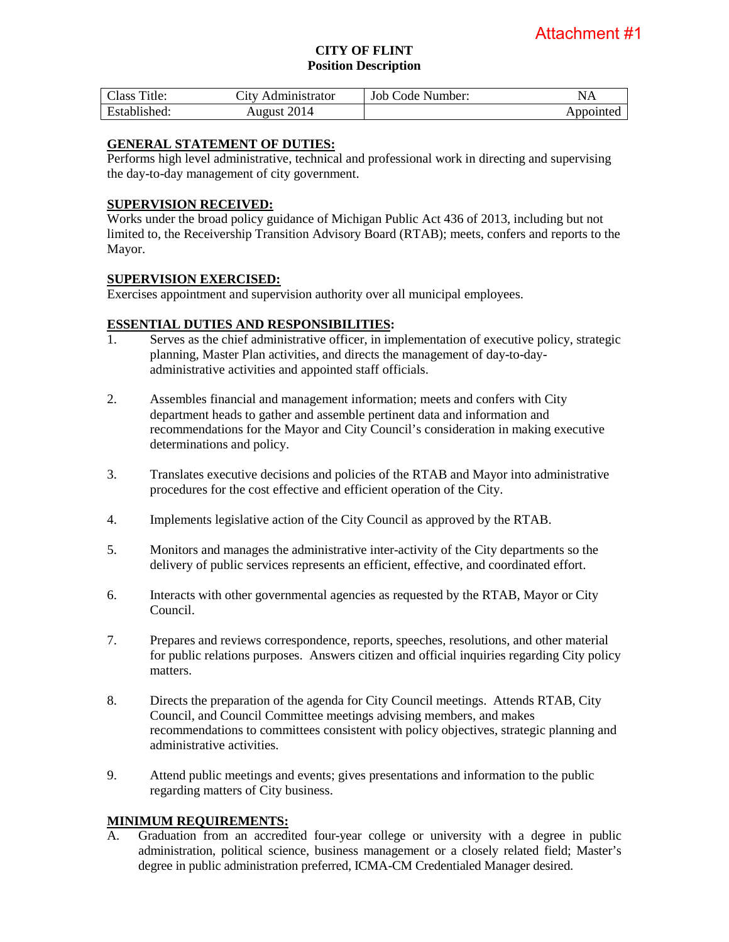#### **CITY OF FLINT Position Description**

| Class Title: | City Administrator | Job Code Number: | NA        |
|--------------|--------------------|------------------|-----------|
| Established: | August 2014        |                  | Appointed |

#### **GENERAL STATEMENT OF DUTIES:**

Performs high level administrative, technical and professional work in directing and supervising the day-to-day management of city government.

#### **SUPERVISION RECEIVED:**

Works under the broad policy guidance of Michigan Public Act 436 of 2013, including but not limited to, the Receivership Transition Advisory Board (RTAB); meets, confers and reports to the Mayor.

#### **SUPERVISION EXERCISED:**

Exercises appointment and supervision authority over all municipal employees.

## **ESSENTIAL DUTIES AND RESPONSIBILITIES:**

- 1. Serves as the chief administrative officer, in implementation of executive policy, strategic planning, Master Plan activities, and directs the management of day-to-dayadministrative activities and appointed staff officials.
- 2. Assembles financial and management information; meets and confers with City department heads to gather and assemble pertinent data and information and recommendations for the Mayor and City Council's consideration in making executive determinations and policy.
- 3. Translates executive decisions and policies of the RTAB and Mayor into administrative procedures for the cost effective and efficient operation of the City.
- 4. Implements legislative action of the City Council as approved by the RTAB.
- 5. Monitors and manages the administrative inter-activity of the City departments so the delivery of public services represents an efficient, effective, and coordinated effort.
- 6. Interacts with other governmental agencies as requested by the RTAB, Mayor or City Council.
- 7. Prepares and reviews correspondence, reports, speeches, resolutions, and other material for public relations purposes. Answers citizen and official inquiries regarding City policy matters.
- 8. Directs the preparation of the agenda for City Council meetings. Attends RTAB, City Council, and Council Committee meetings advising members, and makes recommendations to committees consistent with policy objectives, strategic planning and administrative activities.
- 9. Attend public meetings and events; gives presentations and information to the public regarding matters of City business.

### **MINIMUM REQUIREMENTS:**

A. Graduation from an accredited four-year college or university with a degree in public administration, political science, business management or a closely related field; Master's degree in public administration preferred, ICMA-CM Credentialed Manager desired.